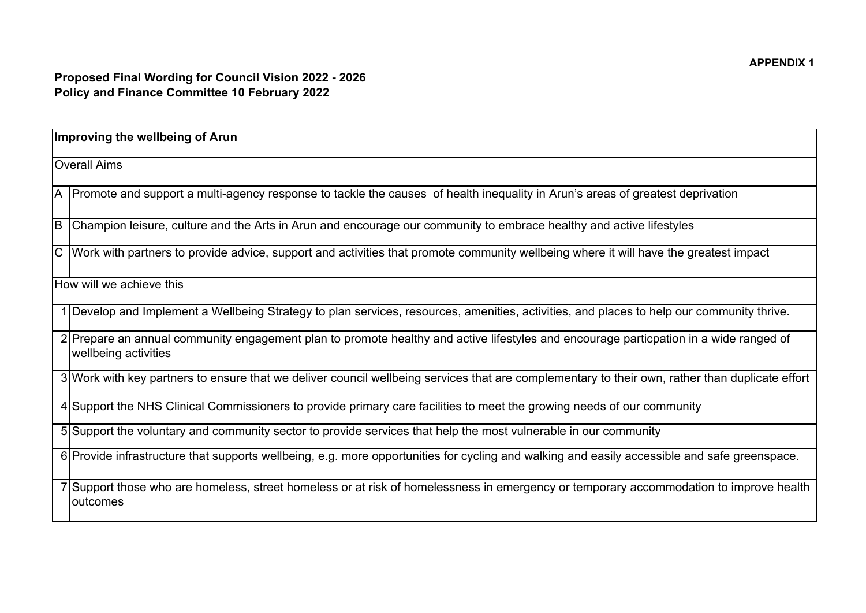| Improving the wellbeing of Arun |                                                                                                                                                               |
|---------------------------------|---------------------------------------------------------------------------------------------------------------------------------------------------------------|
| <b>Overall Aims</b>             |                                                                                                                                                               |
|                                 | A  Promote and support a multi-agency response to tackle the causes of health inequality in Arun's areas of greatest deprivation                              |
| B                               | Champion leisure, culture and the Arts in Arun and encourage our community to embrace healthy and active lifestyles                                           |
|                                 | C Work with partners to provide advice, support and activities that promote community wellbeing where it will have the greatest impact                        |
| How will we achieve this        |                                                                                                                                                               |
|                                 | 1 Develop and Implement a Wellbeing Strategy to plan services, resources, amenities, activities, and places to help our community thrive.                     |
|                                 | 2 Prepare an annual community engagement plan to promote healthy and active lifestyles and encourage particpation in a wide ranged of<br>wellbeing activities |
|                                 | 3 Work with key partners to ensure that we deliver council wellbeing services that are complementary to their own, rather than duplicate effort               |
|                                 | 4 Support the NHS Clinical Commissioners to provide primary care facilities to meet the growing needs of our community                                        |
|                                 | 5 Support the voluntary and community sector to provide services that help the most vulnerable in our community                                               |
|                                 | 6 Provide infrastructure that supports wellbeing, e.g. more opportunities for cycling and walking and easily accessible and safe greenspace.                  |
|                                 | 7 Support those who are homeless, street homeless or at risk of homelessness in emergency or temporary accommodation to improve health<br>outcomes            |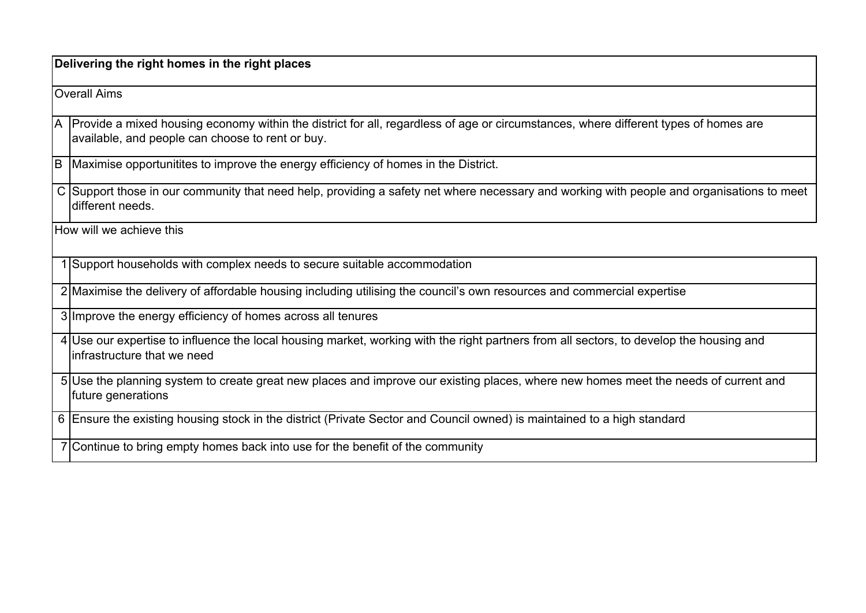**Delivering the right homes in the right places** 

Overall Aims

A Provide a mixed housing economy within the district for all, regardless of age or circumstances, where different types of homes are available, and people can choose to rent or buy.

B Maximise opportunitites to improve the energy efficiency of homes in the District.

C |Support those in our community that need help, providing a safety net where necessary and working with people and organisations to meet different needs

How will we achieve this

1 Support households with complex needs to secure suitable accommodation

2 Maximise the delivery of affordable housing including utilising the council's own resources and commercial expertise

3 Improve the energy efficiency of homes across all tenures

4 Use our expertise to influence the local housing market, working with the right partners from all sectors, to develop the housing and infrastructure that we need

5 Use the planning system to create great new places and improve our existing places, where new homes meet the needs of current and future generations

6 Ensure the existing housing stock in the district (Private Sector and Council owned) is maintained to a high standard

7 Continue to bring empty homes back into use for the benefit of the community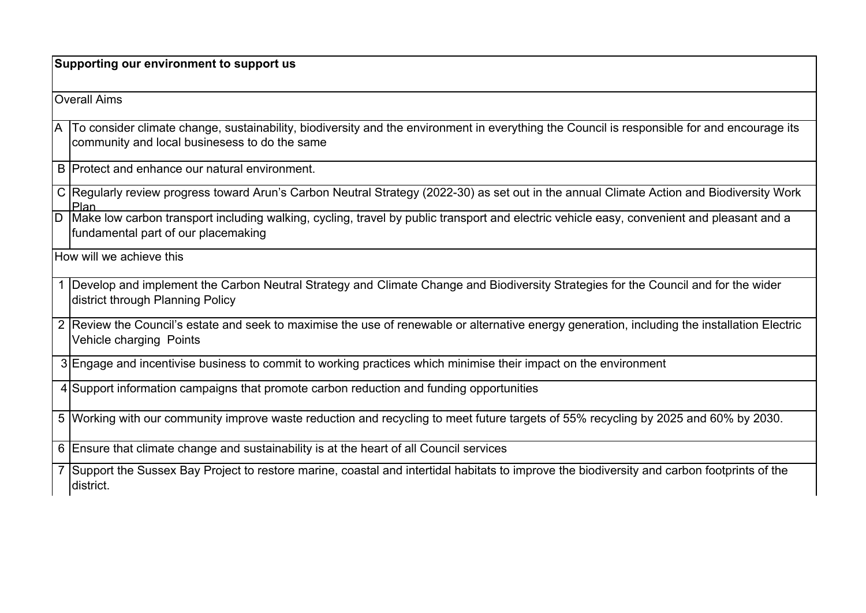**Supporting our environment to support us**

Overall Aims

A To consider climate change, sustainability, biodiversity and the environment in everything the Council is responsible for and encourage its community and local businesess to do the same

B Protect and enhance our natural environment.

C Regularly review progress toward Arun's Carbon Neutral Strategy (2022-30) as set out in the annual Climate Action and Biodiversity Work Plan

D Make low carbon transport including walking, cycling, travel by public transport and electric vehicle easy, convenient and pleasant and a fundamental part of our placemaking

How will we achieve this

- 1 |Develop and implement the Carbon Neutral Strategy and Climate Change and Biodiversity Strategies for the Council and for the wider district through Planning Policy
- 2 |Review the Council's estate and seek to maximise the use of renewable or alternative energy generation, including the installation Electric Vehicle charging Points

3 Engage and incentivise business to commit to working practices which minimise their impact on the environment

4 Support information campaigns that promote carbon reduction and funding opportunities

5 Working with our community improve waste reduction and recycling to meet future targets of 55% recycling by 2025 and 60% by 2030.

6 Ensure that climate change and sustainability is at the heart of all Council services

7 Support the Sussex Bay Project to restore marine, coastal and intertidal habitats to improve the biodiversity and carbon footprints of the district.